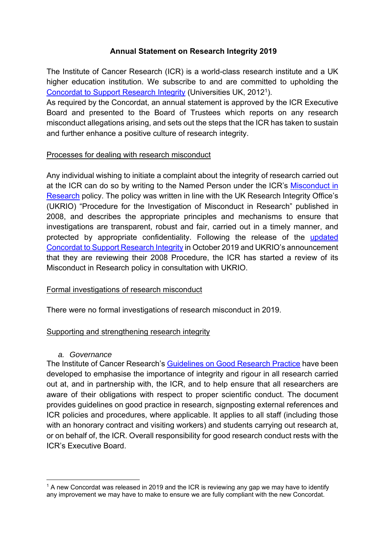# **Annual Statement on Research Integrity 2019**

The Institute of Cancer Research (ICR) is a world-class research institute and a UK higher education institution. We subscribe to and are committed to upholding the Concordat to Support Research Integrity (Universities UK, 20121).

As required by the Concordat, an annual statement is approved by the ICR Executive Board and presented to the Board of Trustees which reports on any research misconduct allegations arising, and sets out the steps that the ICR has taken to sustain and further enhance a positive culture of research integrity.

### Processes for dealing with research misconduct

Any individual wishing to initiate a complaint about the integrity of research carried out at the ICR can do so by writing to the Named Person under the ICR's Misconduct in Research policy. The policy was written in line with the UK Research Integrity Office's (UKRIO) "Procedure for the Investigation of Misconduct in Research" published in 2008, and describes the appropriate principles and mechanisms to ensure that investigations are transparent, robust and fair, carried out in a timely manner, and protected by appropriate confidentiality. Following the release of the updated Concordat to Support Research Integrity in October 2019 and UKRIO's announcement that they are reviewing their 2008 Procedure, the ICR has started a review of its Misconduct in Research policy in consultation with UKRIO.

# Formal investigations of research misconduct

There were no formal investigations of research misconduct in 2019.

# Supporting and strengthening research integrity

### *a. Governance*

1

The Institute of Cancer Research's Guidelines on Good Research Practice have been developed to emphasise the importance of integrity and rigour in all research carried out at, and in partnership with, the ICR, and to help ensure that all researchers are aware of their obligations with respect to proper scientific conduct. The document provides guidelines on good practice in research, signposting external references and ICR policies and procedures, where applicable. It applies to all staff (including those with an honorary contract and visiting workers) and students carrying out research at, or on behalf of, the ICR. Overall responsibility for good research conduct rests with the ICR's Executive Board.

 $1$  A new Concordat was released in 2019 and the ICR is reviewing any gap we may have to identify any improvement we may have to make to ensure we are fully compliant with the new Concordat.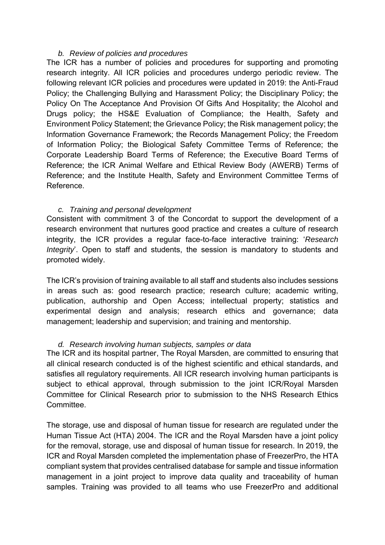### *b. Review of policies and procedures*

The ICR has a number of policies and procedures for supporting and promoting research integrity. All ICR policies and procedures undergo periodic review. The following relevant ICR policies and procedures were updated in 2019: the Anti-Fraud Policy; the Challenging Bullying and Harassment Policy; the Disciplinary Policy; the Policy On The Acceptance And Provision Of Gifts And Hospitality; the Alcohol and Drugs policy; the HS&E Evaluation of Compliance; the Health, Safety and Environment Policy Statement; the Grievance Policy; the Risk management policy; the Information Governance Framework; the Records Management Policy; the Freedom of Information Policy; the Biological Safety Committee Terms of Reference; the Corporate Leadership Board Terms of Reference; the Executive Board Terms of Reference; the ICR Animal Welfare and Ethical Review Body (AWERB) Terms of Reference; and the Institute Health, Safety and Environment Committee Terms of Reference.

#### *c. Training and personal development*

Consistent with commitment 3 of the Concordat to support the development of a research environment that nurtures good practice and creates a culture of research integrity, the ICR provides a regular face-to-face interactive training: '*Research Integrity*'. Open to staff and students, the session is mandatory to students and promoted widely.

The ICR's provision of training available to all staff and students also includes sessions in areas such as: good research practice; research culture; academic writing, publication, authorship and Open Access; intellectual property; statistics and experimental design and analysis; research ethics and governance; data management; leadership and supervision; and training and mentorship.

#### *d. Research involving human subjects, samples or data*

The ICR and its hospital partner, The Royal Marsden, are committed to ensuring that all clinical research conducted is of the highest scientific and ethical standards, and satisfies all regulatory requirements. All ICR research involving human participants is subject to ethical approval, through submission to the joint ICR/Royal Marsden Committee for Clinical Research prior to submission to the NHS Research Ethics Committee.

The storage, use and disposal of human tissue for research are regulated under the Human Tissue Act (HTA) 2004. The ICR and the Royal Marsden have a joint policy for the removal, storage, use and disposal of human tissue for research. In 2019, the ICR and Royal Marsden completed the implementation phase of FreezerPro, the HTA compliant system that provides centralised database for sample and tissue information management in a joint project to improve data quality and traceability of human samples. Training was provided to all teams who use FreezerPro and additional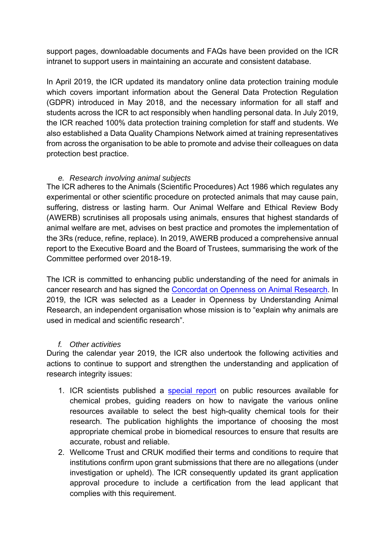support pages, downloadable documents and FAQs have been provided on the ICR intranet to support users in maintaining an accurate and consistent database.

In April 2019, the ICR updated its mandatory online data protection training module which covers important information about the General Data Protection Regulation (GDPR) introduced in May 2018, and the necessary information for all staff and students across the ICR to act responsibly when handling personal data. In July 2019, the ICR reached 100% data protection training completion for staff and students. We also established a Data Quality Champions Network aimed at training representatives from across the organisation to be able to promote and advise their colleagues on data protection best practice.

# *e. Research involving animal subjects*

The ICR adheres to the Animals (Scientific Procedures) Act 1986 which regulates any experimental or other scientific procedure on protected animals that may cause pain, suffering, distress or lasting harm. Our Animal Welfare and Ethical Review Body (AWERB) scrutinises all proposals using animals, ensures that highest standards of animal welfare are met, advises on best practice and promotes the implementation of the 3Rs (reduce, refine, replace). In 2019, AWERB produced a comprehensive annual report to the Executive Board and the Board of Trustees, summarising the work of the Committee performed over 2018-19.

The ICR is committed to enhancing public understanding of the need for animals in cancer research and has signed the Concordat on Openness on Animal Research. In 2019, the ICR was selected as a Leader in Openness by Understanding Animal Research, an independent organisation whose mission is to "explain why animals are used in medical and scientific research".

# *f. Other activities*

During the calendar year 2019, the ICR also undertook the following activities and actions to continue to support and strengthen the understanding and application of research integrity issues:

- 1. ICR scientists published a special report on public resources available for chemical probes, guiding readers on how to navigate the various online resources available to select the best high-quality chemical tools for their research. The publication highlights the importance of choosing the most appropriate chemical probe in biomedical resources to ensure that results are accurate, robust and reliable.
- 2. Wellcome Trust and CRUK modified their terms and conditions to require that institutions confirm upon grant submissions that there are no allegations (under investigation or upheld). The ICR consequently updated its grant application approval procedure to include a certification from the lead applicant that complies with this requirement.